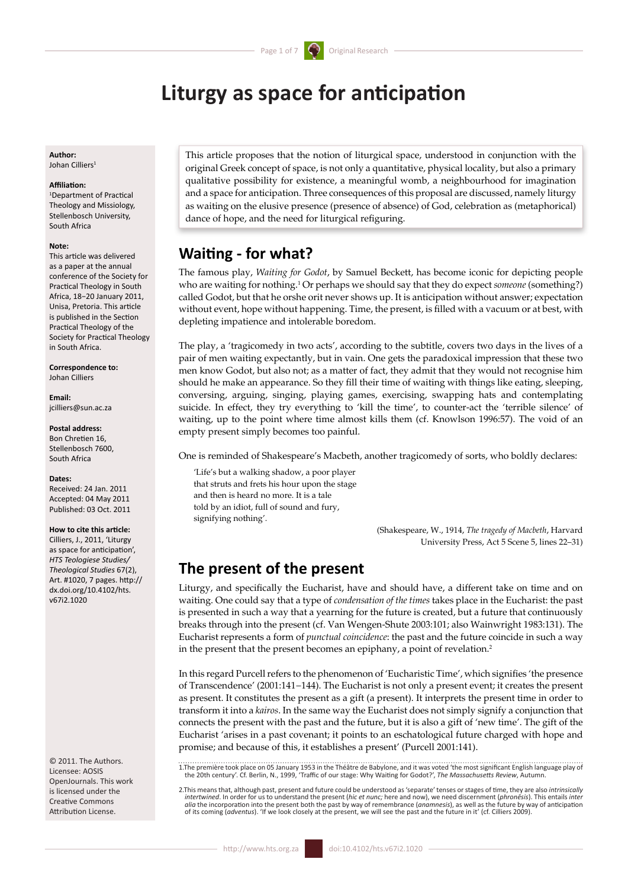# **Liturgy as space for anticipation**

**Author:** Johan Cilliers<sup>1</sup>

#### **Affiliation:**

1 Department of Practical Theology and Missiology, Stellenbosch University, South Africa

#### **Note:**

This article was delivered as a paper at the annual conference of the Society for Practical Theology in South Africa, 18−20 January 2011, Unisa, Pretoria. This article is published in the Section Practical Theology of the Society for Practical Theology in South Africa.

**Correspondence to:**

Johan Cilliers

**Email:** jcilliers@sun.ac.za

#### **Postal address:**

Bon Chretien 16, Stellenbosch 7600, South Africa

#### **Dates:**

Received: 24 Jan. 2011 Accepted: 04 May 2011 Published: 03 Oct. 2011

#### **How to cite this article:**

Cilliers, J., 2011, 'Liturgy as space for anticipation', *HTS Teologiese Studies/ Theological Studies* 67(2), Art. #1020, 7 pages. http:// dx.doi.org/10.4102/hts. v67i2.1020

© 2011. The Authors. Licensee: AOSIS OpenJournals. This work is licensed under the Creative Commons Attribution License.

This article proposes that the notion of liturgical space, understood in conjunction with the original Greek concept of space, is not only a quantitative, physical locality, but also a primary qualitative possibility for existence, a meaningful womb, a neighbourhood for imagination and a space for anticipation. Three consequences of this proposal are discussed, namely liturgy as waiting on the elusive presence (presence of absence) of God, celebration as (metaphorical) dance of hope, and the need for liturgical refiguring.

# **Waiting - for what?**

The famous play, *Waiting for Godot*, by Samuel Beckett, has become iconic for depicting people who are waiting for nothing.<sup>1</sup> Or perhaps we should say that they do expect *someone* (something?) called Godot, but that he orshe orit never shows up. It is anticipation without answer; expectation without event, hope without happening. Time, the present, is filled with a vacuum or at best, with depleting impatience and intolerable boredom.

The play, a 'tragicomedy in two acts', according to the subtitle, covers two days in the lives of a pair of men waiting expectantly, but in vain. One gets the paradoxical impression that these two men know Godot, but also not; as a matter of fact, they admit that they would not recognise him should he make an appearance. So they fill their time of waiting with things like eating, sleeping, conversing, arguing, singing, playing games, exercising, swapping hats and contemplating suicide. In effect, they try everything to 'kill the time', to counter-act the 'terrible silence' of waiting, up to the point where time almost kills them (cf. Knowlson 1996:57). The void of an empty present simply becomes too painful.

One is reminded of Shakespeare's Macbeth, another tragicomedy of sorts, who boldly declares:

'Life's but a walking shadow, a poor player that struts and frets his hour upon the stage and then is heard no more. It is a tale told by an idiot, full of sound and fury, signifying nothing'.

> (Shakespeare, W., 1914, *The tragedy of Macbeth*, Harvard University Press, Act 5 Scene 5, lines 22–31)

# **The present of the present**

Liturgy, and specifically the Eucharist, have and should have, a different take on time and on waiting. One could say that a type of *condensation of the times* takes place in the Eucharist: the past is presented in such a way that a yearning for the future is created, but a future that continuously breaks through into the present (cf. Van Wengen-Shute 2003:101; also Wainwright 1983:131). The Eucharist represents a form of *punctual coincidence*: the past and the future coincide in such a way in the present that the present becomes an epiphany, a point of revelation.<sup>2</sup>

In this regard Purcell refers to the phenomenon of 'Eucharistic Time', which signifies 'the presence of Transcendence' (2001:141−144). The Eucharist is not only a present event; it creates the present as present. It constitutes the present as a gift (a present). It interprets the present time in order to transform it into a *kairos*. In the same way the Eucharist does not simply signify a conjunction that connects the present with the past and the future, but it is also a gift of 'new time'. The gift of the Eucharist 'arises in a past covenant; it points to an eschatological future charged with hope and promise; and because of this, it establishes a present' (Purcell 2001:141).

1.The première took place on 05 January 1953 in the Théâtre de Babylone, and it was voted 'the most significant English language play of the 20th century'. Cf. Berlin, N., 1999, 'Traffic of our stage: Why Waiting for Godot?', *The Massachusetts Review*, Autumn.

2.This means that, although past, present and future could be understood as 'separate' tenses or stages of time, they are also *intrinsically intertwined*. In order for us to understand the present (*hic et nunc;* here and now), we need discernment (*phronēsis*). This entails *inter alia* the incorporation into the present both the past by way of remembrance (*anamnesis*), as well as the future by way of anticipation of its coming (*adventus*). 'If we look closely at the present, we will see the past and the future in it' (cf. Cilliers 2009).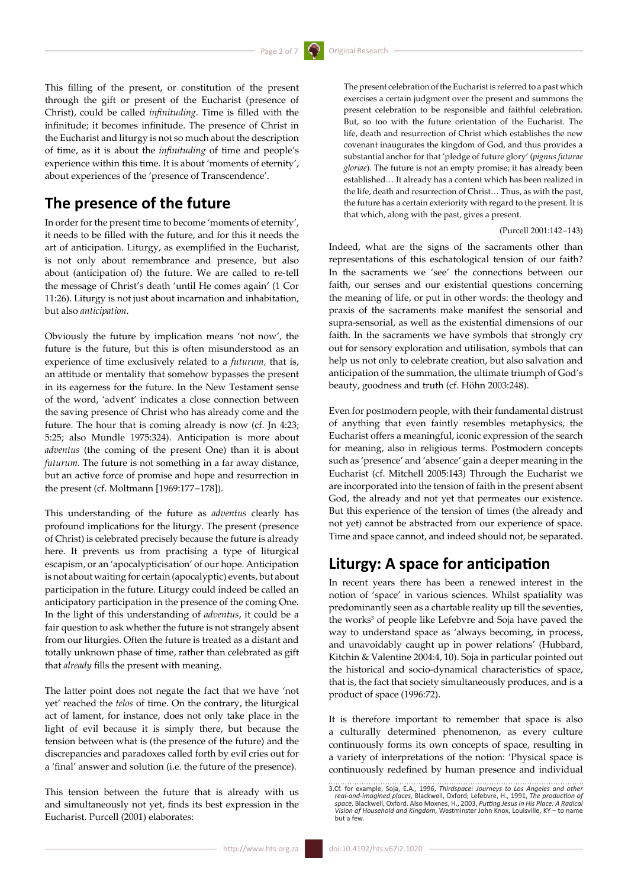This filling of the present, or constitution of the present through the gift or present of the Eucharist (presence of Christ), could be called *infinituding*. Time is filled with the infinitude; it becomes infinitude. The presence of Christ in the Eucharist and liturgy is not so much about the description of time, as it is about the *infinituding* of time and people's experience within this time. It is about 'moments of eternity', about experiences of the 'presence of Transcendence'.

# **The presence of the future**

In order for the present time to become 'moments of eternity', it needs to be filled with the future, and for this it needs the art of anticipation. Liturgy, as exemplified in the Eucharist, is not only about remembrance and presence, but also about (anticipation of) the future. We are called to re-tell the message of Christ's death 'until He comes again' (1 Cor 11:26). Liturgy is not just about incarnation and inhabitation, but also *anticipation*.

Obviously the future by implication means 'not now', the future is the future, but this is often misunderstood as an experience of time exclusively related to a *futurum,* that is, an attitude or mentality that somehow bypasses the present in its eagerness for the future. In the New Testament sense of the word, 'advent' indicates a close connection between the saving presence of Christ who has already come and the future. The hour that is coming already is now (cf. Jn 4:23; 5:25; also Mundle 1975:324). Anticipation is more about *adventus* (the coming of the present One) than it is about *futurum.* The future is not something in a far away distance, but an active force of promise and hope and resurrection in the present (cf. Moltmann [1969:177−178]).

This understanding of the future as *adventus* clearly has profound implications for the liturgy. The present (presence of Christ) is celebrated precisely because the future is already here. It prevents us from practising a type of liturgical escapism, or an 'apocalypticisation' of our hope. Anticipation is not about waiting for certain (apocalyptic) events, but about participation in the future. Liturgy could indeed be called an anticipatory participation in the presence of the coming One*.* In the light of this understanding of *adventus*, it could be a fair question to ask whether the future is not strangely absent from our liturgies. Often the future is treated as a distant and totally unknown phase of time, rather than celebrated as gift that *already* fills the present with meaning.

The latter point does not negate the fact that we have 'not yet' reached the *telos* of time. On the contrary, the liturgical act of lament, for instance, does not only take place in the light of evil because it is simply there, but because the tension between what is (the presence of the future) and the discrepancies and paradoxes called forth by evil cries out for a 'final' answer and solution (i.e. the future of the presence).

This tension between the future that is already with us and simultaneously not yet, finds its best expression in the Eucharist. Purcell (2001) elaborates:

The present celebration of the Eucharist is referred to a past which exercises a certain judgment over the present and summons the present celebration to be responsible and faithful celebration. But, so too with the future orientation of the Eucharist. The life, death and resurrection of Christ which establishes the new covenant inaugurates the kingdom of God, and thus provides a substantial anchor for that 'pledge of future glory' (*pignus futurae gloriae*). The future is not an empty promise; it has already been established… It already has a content which has been realized in the life, death and resurrection of Christ… Thus, as with the past, the future has a certain exteriority with regard to the present. It is that which, along with the past, gives a present.

### (Purcell 2001:142−143)

Indeed, what are the signs of the sacraments other than representations of this eschatological tension of our faith? In the sacraments we 'see' the connections between our faith, our senses and our existential questions concerning the meaning of life, or put in other words: the theology and praxis of the sacraments make manifest the sensorial and supra-sensorial, as well as the existential dimensions of our faith. In the sacraments we have symbols that strongly cry out for sensory exploration and utilisation, symbols that can help us not only to celebrate creation, but also salvation and anticipation of the summation, the ultimate triumph of God's beauty, goodness and truth (cf. Höhn 2003:248).

Even for postmodern people, with their fundamental distrust of anything that even faintly resembles metaphysics, the Eucharist offers a meaningful, iconic expression of the search for meaning, also in religious terms. Postmodern concepts such as 'presence' and 'absence' gain a deeper meaning in the Eucharist (cf. Mitchell 2005:143) Through the Eucharist we are incorporated into the tension of faith in the present absent God, the already and not yet that permeates our existence. But this experience of the tension of times (the already and not yet) cannot be abstracted from our experience of space. Time and space cannot, and indeed should not, be separated.

# **Liturgy: A space for anticipation**

In recent years there has been a renewed interest in the notion of 'space' in various sciences. Whilst spatiality was predominantly seen as a chartable reality up till the seventies, the works<sup>3</sup> of people like Lefebvre and Soja have paved the way to understand space as 'always becoming, in process, and unavoidably caught up in power relations' (Hubbard, Kitchin & Valentine 2004:4, 10). Soja in particular pointed out the historical and socio-dynamical characteristics of space, that is, the fact that society simultaneously produces, and is a product of space (1996:72).

It is therefore important to remember that space is also a culturally determined phenomenon, as every culture continuously forms its own concepts of space, resulting in a variety of interpretations of the notion: 'Physical space is continuously redefined by human presence and individual

<sup>3.</sup>Cf. for example, Soja, E.A., 1996, Thirdspace: Journeys to Los Angeles and other<br>real-and-imagined places, Blackwell, Oxford; Lefebvre, H., 1991, The production of<br>space, Blackwell, Oxford. Also Moxnes, H., 2003, Putting *Vision of Household and Kingdom,* Westminster John Knox, Louisville, KY – to name but a few.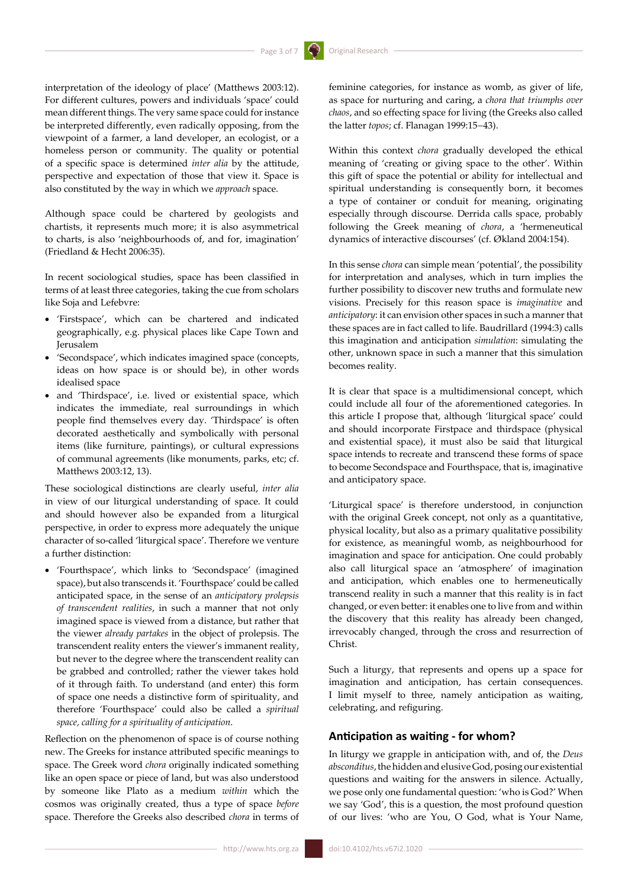interpretation of the ideology of place' (Matthews 2003:12). For different cultures, powers and individuals 'space' could mean different things. The very same space could for instance be interpreted differently, even radically opposing, from the viewpoint of a farmer, a land developer, an ecologist, or a homeless person or community. The quality or potential of a specific space is determined *inter alia* by the attitude, perspective and expectation of those that view it. Space is also constituted by the way in which we *approach* space.

Although space could be chartered by geologists and chartists, it represents much more; it is also asymmetrical to charts, is also 'neighbourhoods of, and for, imagination' (Friedland & Hecht 2006:35).

In recent sociological studies, space has been classified in terms of at least three categories, taking the cue from scholars like Soja and Lefebvre:

- • 'Firstspace', which can be chartered and indicated geographically, e.g. physical places like Cape Town and Jerusalem
- • 'Secondspace', which indicates imagined space (concepts, ideas on how space is or should be), in other words idealised space
- and 'Thirdspace', i.e. lived or existential space, which indicates the immediate, real surroundings in which people find themselves every day. 'Thirdspace' is often decorated aesthetically and symbolically with personal items (like furniture, paintings), or cultural expressions of communal agreements (like monuments, parks, etc; cf. Matthews 2003:12, 13).

These sociological distinctions are clearly useful, *inter alia* in view of our liturgical understanding of space. It could and should however also be expanded from a liturgical perspective, in order to express more adequately the unique character of so-called 'liturgical space'. Therefore we venture a further distinction:

• 'Fourthspace', which links to 'Secondspace' (imagined space), but also transcends it. 'Fourthspace' could be called anticipated space, in the sense of an *anticipatory prolepsis of transcendent realities*, in such a manner that not only imagined space is viewed from a distance, but rather that the viewer *already partakes* in the object of prolepsis. The transcendent reality enters the viewer's immanent reality, but never to the degree where the transcendent reality can be grabbed and controlled; rather the viewer takes hold of it through faith. To understand (and enter) this form of space one needs a distinctive form of spirituality, and therefore 'Fourthspace' could also be called a *spiritual space, calling for a spirituality of anticipation*.

Reflection on the phenomenon of space is of course nothing new. The Greeks for instance attributed specific meanings to space. The Greek word *chora* originally indicated something like an open space or piece of land, but was also understood by someone like Plato as a medium *within* which the cosmos was originally created, thus a type of space *before* space. Therefore the Greeks also described *chora* in terms of feminine categories, for instance as womb, as giver of life, as space for nurturing and caring, a *chora that triumphs over chaos*, and so effecting space for living (the Greeks also called the latter *topos*; cf. Flanagan 1999:15−43).

Within this context *chora* gradually developed the ethical meaning of 'creating or giving space to the other'. Within this gift of space the potential or ability for intellectual and spiritual understanding is consequently born, it becomes a type of container or conduit for meaning, originating especially through discourse. Derrida calls space, probably following the Greek meaning of *chora*, a 'hermeneutical dynamics of interactive discourses' (cf. Økland 2004:154).

In this sense *chora* can simple mean 'potential', the possibility for interpretation and analyses, which in turn implies the further possibility to discover new truths and formulate new visions. Precisely for this reason space is *imaginative* and *anticipatory*: it can envision other spaces in such a manner that these spaces are in fact called to life. Baudrillard (1994:3) calls this imagination and anticipation *simulation*: simulating the other, unknown space in such a manner that this simulation becomes reality.

It is clear that space is a multidimensional concept, which could include all four of the aforementioned categories. In this article I propose that, although 'liturgical space' could and should incorporate Firstpace and thirdspace (physical and existential space), it must also be said that liturgical space intends to recreate and transcend these forms of space to become Secondspace and Fourthspace, that is, imaginative and anticipatory space.

'Liturgical space' is therefore understood, in conjunction with the original Greek concept, not only as a quantitative, physical locality, but also as a primary qualitative possibility for existence, as meaningful womb, as neighbourhood for imagination and space for anticipation. One could probably also call liturgical space an 'atmosphere' of imagination and anticipation, which enables one to hermeneutically transcend reality in such a manner that this reality is in fact changed, or even better: it enables one to live from and within the discovery that this reality has already been changed, irrevocably changed, through the cross and resurrection of Christ.

Such a liturgy, that represents and opens up a space for imagination and anticipation, has certain consequences. I limit myself to three, namely anticipation as waiting, celebrating, and refiguring.

### **Anticipation as waiting - for whom?**

In liturgy we grapple in anticipation with, and of, the *Deus absconditus*, the hidden and elusive God, posing our existential questions and waiting for the answers in silence. Actually, we pose only one fundamental question: 'who is God?' When we say 'God', this is a question, the most profound question of our lives: 'who are You, O God, what is Your Name,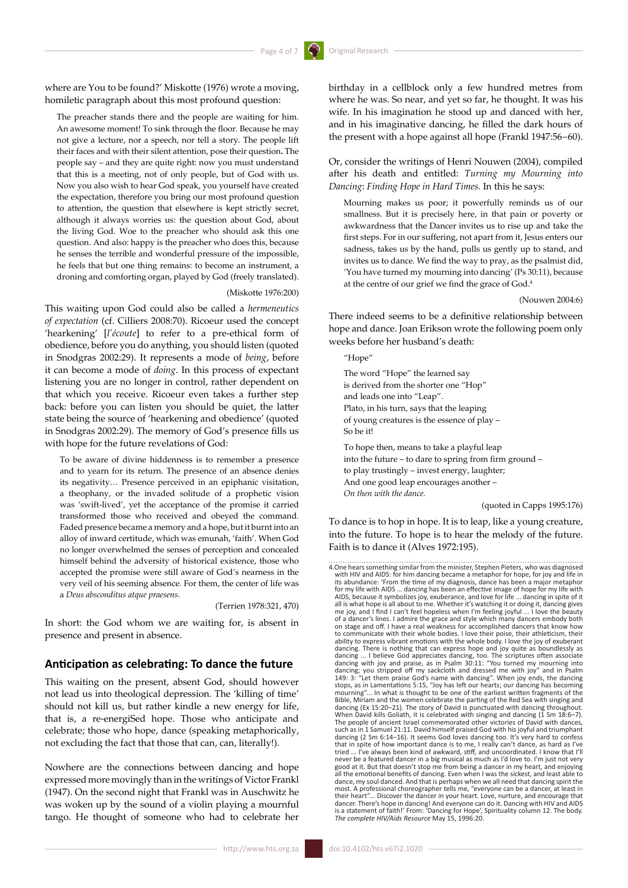where are You to be found?' Miskotte (1976) wrote a moving, homiletic paragraph about this most profound question:

The preacher stands there and the people are waiting for him. An awesome moment! To sink through the floor. Because he may not give a lecture, nor a speech, nor tell a story. The people lift their faces and with their silent attention, pose their question**.** The people say – and they are quite right: now you must understand that this is a meeting, not of only people, but of God with us. Now you also wish to hear God speak, you yourself have created the expectation, therefore you bring our most profound question to attention, the question that elsewhere is kept strictly secret, although it always worries us: the question about God, about the living God. Woe to the preacher who should ask this one question. And also: happy is the preacher who does this, because he senses the terrible and wonderful pressure of the impossible, he feels that but one thing remains: to become an instrument, a droning and comforting organ, played by God (freely translated).

### (Miskotte 1976:200)

This waiting upon God could also be called a *hermeneutics of expectation* (cf. Cilliers 2008:70). Ricoeur used the concept 'hearkening' [*l'écoute*] to refer to a pre-ethical form of obedience, before you do anything, you should listen (quoted in Snodgras 2002:29). It represents a mode of *being*, before it can become a mode of *doing*. In this process of expectant listening you are no longer in control, rather dependent on that which you receive. Ricoeur even takes a further step back: before you can listen you should be quiet, the latter state being the source of 'hearkening and obedience' (quoted in Snodgras 2002:29). The memory of God's presence fills us with hope for the future revelations of God:

To be aware of divine hiddenness is to remember a presence and to yearn for its return. The presence of an absence denies its negativity… Presence perceived in an epiphanic visitation, a theophany, or the invaded solitude of a prophetic vision was 'swift-lived', yet the acceptance of the promise it carried transformed those who received and obeyed the command. Faded presence became a memory and a hope, but it burnt into an alloy of inward certitude, which was emunah, 'faith'. When God no longer overwhelmed the senses of perception and concealed himself behind the adversity of historical existence, those who accepted the promise were still aware of God's nearness in the very veil of his seeming absence. For them, the center of life was a *Deus absconditus atque praesens*.

(Terrien 1978:321, 470)

In short: the God whom we are waiting for, is absent in presence and present in absence.

### **Anticipation as celebrating: To dance the future**

This waiting on the present, absent God, should however not lead us into theological depression. The 'killing of time' should not kill us, but rather kindle a new energy for life, that is, a re-energiSed hope. Those who anticipate and celebrate; those who hope, dance (speaking metaphorically, not excluding the fact that those that can, can, literally!).

Nowhere are the connections between dancing and hope expressed more movingly than in the writings of Victor Frankl (1947). On the second night that Frankl was in Auschwitz he was woken up by the sound of a violin playing a mournful tango. He thought of someone who had to celebrate her

birthday in a cellblock only a few hundred metres from where he was. So near, and yet so far, he thought. It was his wife. In his imagination he stood up and danced with her, and in his imaginative dancing, he filled the dark hours of the present with a hope against all hope (Frankl 1947:56−60).

Or, consider the writings of Henri Nouwen (2004), compiled after his death and entitled: *Turning my Mourning into Dancing*: *Finding Hope in Hard Times.* In this he says:

Mourning makes us poor; it powerfully reminds us of our smallness. But it is precisely here, in that pain or poverty or awkwardness that the Dancer invites us to rise up and take the first steps. For in our suffering, not apart from it, Jesus enters our sadness, takes us by the hand, pulls us gently up to stand, and invites us to dance. We find the way to pray, as the psalmist did, 'You have turned my mourning into dancing' (Ps 30:11), because at the centre of our grief we find the grace of God.4

#### (Nouwen 2004:6)

There indeed seems to be a definitive relationship between hope and dance. Joan Erikson wrote the following poem only weeks before her husband's death:

"Hope"

The word "Hope" the learned say is derived from the shorter one "Hop" and leads one into "Leap". Plato, in his turn, says that the leaping of young creatures is the essence of play – So be it! To hope then, means to take a playful leap into the future – to dare to spring from firm ground – to play trustingly – invest energy, laughter; And one good leap encourages another – *On then with the dance.*

(quoted in Capps 1995:176)

To dance is to hop in hope. It is to leap, like a young creature, into the future. To hope is to hear the melody of the future. Faith is to dance it (Alves 1972:195).

<sup>4.</sup>One hears something similar from the minister, Stephen Pieters, who was diagnosed with HIV and AIDS: for him dancing became a metaphor for hope, for joy and life in its abundance: 'From the time of my diagnosis, dance has been a major metaphor for my life with AIDS ... dancing has been an effective image of hope for my life with AIDS, because it symbolizes joy, exuberance, and love for life ... dancing in spite of it<br>all is what hope is all about to me. Whether it's watching it or doing it, dancing gives<br>me joy, and I find I can't feel hopeless wh on stage and off. I have a real weakness for accomplished dancers that know how to communicate with their whole bodies. I love their poise, their athleticism, their ability to express vibrant emotions with the whole body. I love the joy of exuberant dancing. There is nothing that can express hope and joy quite as boundlessly as dancing ... I believe God appreciates dancing, too. The scriptures often associate dancing with joy and praise, as in Psalm 30:11: "You turned my mourning into dracing; you stripped off my sackcloth and dressed me with jo Bible, Miriam and the women celebrate the parting of the Red Sea with singing and<br>dancing (Ex 15:20–21). The story of David is punctuated with dancing throughout.<br>When David kills Goliath, it is celebrated with singing and such as in 1 Samuel 21:11. David himself praised God with his joyful and triumphant dancing (2 Sm 6:14−16). It seems God loves dancing too. It's very hard to confess that in spite of how important dance is to me, I really can't dance, as hard as I've tried ... I've always been kind of awkward, stiff, and uncoordinated. I know that I'll never be a featured dancer in a big musical as much as I'd love to. I'm just not very<br>good at it. But that doesn't stop me from being a dancer in my heart, and enjoying<br>all the emotional benefits of dancing. Even when I wa most. A professional choreographer tells me, "everyone can be a dancer, at least in<br>their heart"... Discover the dancer in your heart. Love, nurture, and encourage that<br>dancer. There's hope in dancing! And everyone can do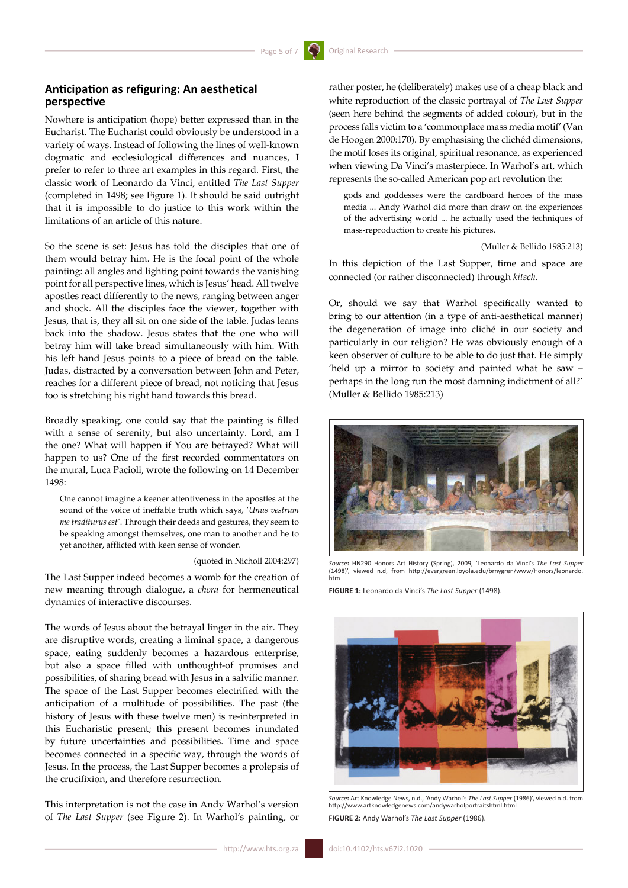### **Anticipation as refiguring: An aesthetical perspective**

Nowhere is anticipation (hope) better expressed than in the Eucharist. The Eucharist could obviously be understood in a variety of ways. Instead of following the lines of well-known dogmatic and ecclesiological differences and nuances, I prefer to refer to three art examples in this regard. First, the classic work of Leonardo da Vinci, entitled *The Last Supper*  (completed in 1498; see Figure 1). It should be said outright that it is impossible to do justice to this work within the limitations of an article of this nature.

So the scene is set: Jesus has told the disciples that one of them would betray him. He is the focal point of the whole painting: all angles and lighting point towards the vanishing point for all perspective lines, which is Jesus' head. All twelve apostles react differently to the news, ranging between anger and shock. All the disciples face the viewer, together with Jesus, that is, they all sit on one side of the table. Judas leans back into the shadow. Jesus states that the one who will betray him will take bread simultaneously with him. With his left hand Jesus points to a piece of bread on the table. Judas, distracted by a conversation between John and Peter, reaches for a different piece of bread, not noticing that Jesus too is stretching his right hand towards this bread.

Broadly speaking, one could say that the painting is filled with a sense of serenity, but also uncertainty. Lord, am I the one? What will happen if You are betrayed? What will happen to us? One of the first recorded commentators on the mural, Luca Pacioli, wrote the following on 14 December 1498:

One cannot imagine a keener attentiveness in the apostles at the sound of the voice of ineffable truth which says, '*Unus vestrum me traditurus est'*. Through their deeds and gestures, they seem to be speaking amongst themselves, one man to another and he to yet another, afflicted with keen sense of wonder.

### (quoted in Nicholl 2004:297)

The Last Supper indeed becomes a womb for the creation of new meaning through dialogue, a *chora* for hermeneutical dynamics of interactive discourses.

The words of Jesus about the betrayal linger in the air. They are disruptive words, creating a liminal space, a dangerous space, eating suddenly becomes a hazardous enterprise, but also a space filled with unthought-of promises and possibilities, of sharing bread with Jesus in a salvific manner. The space of the Last Supper becomes electrified with the anticipation of a multitude of possibilities. The past (the history of Jesus with these twelve men) is re-interpreted in this Eucharistic present; this present becomes inundated by future uncertainties and possibilities. Time and space becomes connected in a specific way, through the words of Jesus. In the process, the Last Supper becomes a prolepsis of the crucifixion, and therefore resurrection.

This interpretation is not the case in Andy Warhol's version of *The Last Supper* (see Figure 2). In Warhol's painting, or rather poster, he (deliberately) makes use of a cheap black and white reproduction of the classic portrayal of *The Last Supper* (seen here behind the segments of added colour), but in the process falls victim to a 'commonplace mass media motif' (Van de Hoogen 2000:170). By emphasising the clichéd dimensions, the motif loses its original, spiritual resonance, as experienced when viewing Da Vinci's masterpiece. In Warhol's art, which represents the so-called American pop art revolution the:

gods and goddesses were the cardboard heroes of the mass media ... Andy Warhol did more than draw on the experiences of the advertising world ... he actually used the techniques of mass-reproduction to create his pictures.

(Muller & Bellido 1985:213)

In this depiction of the Last Supper, time and space are connected (or rather disconnected) through *kitsch*.

Or, should we say that Warhol specifically wanted to bring to our attention (in a type of anti-aesthetical manner) the degeneration of image into cliché in our society and particularly in our religion? He was obviously enough of a keen observer of culture to be able to do just that. He simply 'held up a mirror to society and painted what he saw – perhaps in the long run the most damning indictment of all?' (Muller & Bellido 1985:213)



*Source***:** HN290 Honors Art History (Spring), 2009, 'Leonardo da Vinci's *The Last Supper*  (1498)', viewed n.d, from [http://evergreen.loyola.edu/brnygren/www/Honors/leonardo.](http://evergreen.loyola.edu/brnygren/www/Honors/leonardo.htm ) [htm](http://evergreen.loyola.edu/brnygren/www/Honors/leonardo.htm )

**FIGURE 1:** Leonardo da Vinci's *The Last Supper* (1498).



*Source***:** Art Knowledge News, n.d., 'Andy Warhol's *The Last Supper* (1986)', viewed n.d. from <http://www.artknowledgenews.com/andywarholportraitshtml.html> **FIGURE 2:** Andy Warhol's *The Last Supper* (1986).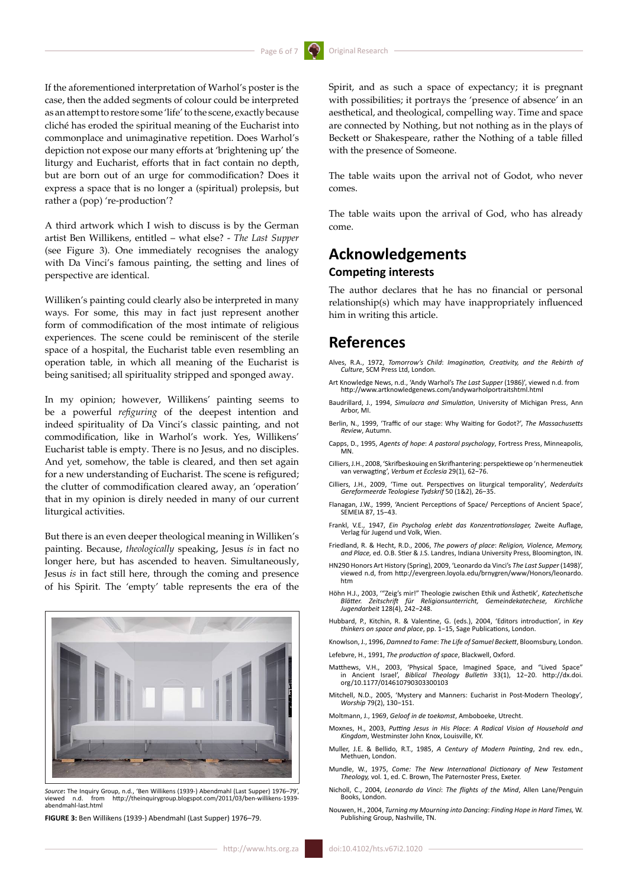If the aforementioned interpretation of Warhol's poster is the case, then the added segments of colour could be interpreted as an attempt to restore some 'life' to the scene, exactly because cliché has eroded the spiritual meaning of the Eucharist into commonplace and unimaginative repetition. Does Warhol's depiction not expose our many efforts at 'brightening up' the liturgy and Eucharist, efforts that in fact contain no depth, but are born out of an urge for commodification? Does it express a space that is no longer a (spiritual) prolepsis, but rather a (pop) 're-production'?

A third artwork which I wish to discuss is by the German artist Ben Willikens, entitled – what else? - *The Last Supper*  (see Figure 3). One immediately recognises the analogy with Da Vinci's famous painting, the setting and lines of perspective are identical.

Williken's painting could clearly also be interpreted in many ways. For some, this may in fact just represent another form of commodification of the most intimate of religious experiences. The scene could be reminiscent of the sterile space of a hospital, the Eucharist table even resembling an operation table, in which all meaning of the Eucharist is being sanitised; all spirituality stripped and sponged away.

In my opinion; however, Willikens' painting seems to be a powerful *refiguring* of the deepest intention and indeed spirituality of Da Vinci's classic painting, and not commodification, like in Warhol's work. Yes, Willikens' Eucharist table is empty. There is no Jesus, and no disciples. And yet, somehow, the table is cleared, and then set again for a new understanding of Eucharist. The scene is refigured; the clutter of commodification cleared away, an 'operation' that in my opinion is direly needed in many of our current liturgical activities.

But there is an even deeper theological meaning in Williken's painting. Because, *theologically* speaking, Jesus *is* in fact no longer here, but has ascended to heaven. Simultaneously, Jesus *is* in fact still here, through the coming and presence of his Spirit. The 'empty' table represents the era of the



*Source***:** The Inquiry Group, n.d., 'Ben Willikens (1939-) Abendmahl (Last Supper) 1976–79', http://theinquirygroup.blogspot.com/2011/03/ben-willikens-1939[abendmahl](http://theinquirygroup.blogspot.com/2011/03/ben-willikens-1939-abendmahl-)-last.html

**FIGURE 3:** Ben Willikens (1939-) Abendmahl (Last Supper) 1976–79.

Spirit, and as such a space of expectancy; it is pregnant with possibilities; it portrays the 'presence of absence' in an aesthetical, and theological, compelling way. Time and space are connected by Nothing, but not nothing as in the plays of Beckett or Shakespeare, rather the Nothing of a table filled with the presence of Someone.

The table waits upon the arrival not of Godot, who never comes.

The table waits upon the arrival of God, who has already come.

## **Acknowledgements Competing interests**

The author declares that he has no financial or personal relationship(s) which may have inappropriately influenced him in writing this article.

# **References**

- Alves, R.A., 1972, *Tomorrow's Child*: *Imagination, Creativity, and the Rebirth of Culture*, SCM Press Ltd, London.
- Art Knowledge News, n.d., 'Andy Warhol's *The Last Supper* (1986)', viewed n.d. from <http://www.artknowledgenews.com/andywarholportraitshtml.html>
- Baudrillard, J., 1994, *Simulacra and Simulation*, University of Michigan Press, Ann Arbor, MI.
- Berlin, N., 1999, 'Traffic of our stage: Why Waiting for Godot?', *The Massachusetts Review*, Autumn.
- Capps, D., 1995, *Agents of hope*: *A pastoral psychology*, Fortress Press, Minneapolis, MN.
- Cilliers, J.H., 2008, 'Skrifbeskouing en Skrifhantering: perspektiewe op 'n hermeneutiek van verwagting', *Verbum et Ecclesia* 29(1), 62−76.
- Cilliers, J.H., 2009, 'Time out. Perspectives on liturgical temporality', *Nederduits Gereformeerde Teologiese Tydskrif* 50 (1&2), 26−35.
- Flanagan, J.W., 1999, 'Ancient Perceptions of Space/ Perceptions of Ancient Space', SEMEIA 87, 15−43.
- Frankl, V.E., 1947, *Ein Psycholog erlebt das Konzentrationslager,* Zweite Auflage, Verlag für Jugend und Volk, Wien.
- Friedland, R. & Hecht, R.D., 2006, *The powers of place*: *Religion, Violence, Memory, and Place,* ed. O.B. Stier & J.S. Landres, Indiana University Press, Bloomington, IN.
- HN290 Honors Art History (Spring), 2009, 'Leonardo da Vinci's *The Last Supper* (1498)', viewed n.d, from http://evergreen.loyola.edu/brnygren/www/Honors/leonardo. htm
- Höhn H.J., 2003, '"Zeig's mir!" Theologie zwischen Ethik und Ästhetik'*, Katechetische Blätter. Zeitschrift für Religionsunterricht, Gemeindekatechese, Kirchliche Jugendarbeit* 128(4), 242−248.
- Hubbard, P., Kitchin, R. & Valentine, G. (eds.), 2004, 'Editors introduction', in *Key thinkers on space and place*, pp. 1−15, Sage Publications, London.
- Knowlson, J., 1996, *Damned to Fame*: *The Life of Samuel Beckett*, Bloomsbury, London.
- Lefebvre, H., 1991, *The production of space*, Blackwell, Oxford.
- Matthews, V.H., 2003, 'Physical Space, Imagined Space, and "Lived Space" in Ancient Israel', *Biblical Theology Bulletin* 33(1), 12−20. [http://dx.doi.](http://dx.doi.org/10.1177/014610790303300103) [org/10.1177/014610790303300103](http://dx.doi.org/10.1177/014610790303300103)
- Mitchell, N.D., 2005, 'Mystery and Manners: Eucharist in Post-Modern Theology'*, Worship* 79(2), 130−151.
- Moltmann, J., 1969, *Geloof in de toekomst*, Amboboeke, Utrecht.
- Moxnes, H., 2003, *Putting Jesus in His Place*: *A Radical Vision of Household and Kingdom*, Westminster John Knox, Louisville, KY.
- Muller, J.E. & Bellido, R.T., 1985, *A Century of Modern Painting*, 2nd rev. edn., Methuen, London.
- Mundle, W., 1975, *Come: The New International Dictionary of New Testament Theology,* vol. 1, ed. C. Brown, The Paternoster Press, Exeter.
- Nicholl, C., 2004, *Leonardo da Vinci*: *The flights of the Mind*, Allen Lane/Penguin Books, London.
- Nouwen, H., 2004, *Turning my Mourning into Dancing*: *Finding Hope in Hard Times,* W. Publishing Group, Nashville, TN.